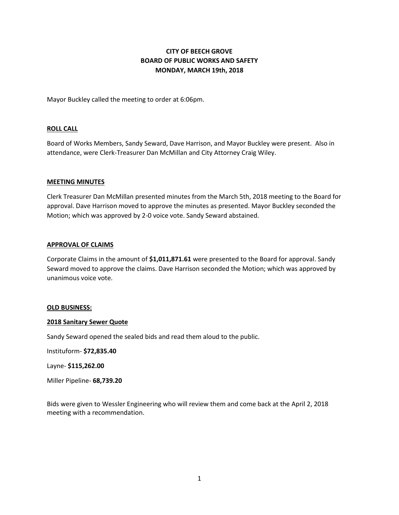# **CITY OF BEECH GROVE BOARD OF PUBLIC WORKS AND SAFETY MONDAY, MARCH 19th, 2018**

Mayor Buckley called the meeting to order at 6:06pm.

#### **ROLL CALL**

Board of Works Members, Sandy Seward, Dave Harrison, and Mayor Buckley were present. Also in attendance, were Clerk-Treasurer Dan McMillan and City Attorney Craig Wiley.

#### **MEETING MINUTES**

Clerk Treasurer Dan McMillan presented minutes from the March 5th, 2018 meeting to the Board for approval. Dave Harrison moved to approve the minutes as presented. Mayor Buckley seconded the Motion; which was approved by 2-0 voice vote. Sandy Seward abstained.

#### **APPROVAL OF CLAIMS**

Corporate Claims in the amount of **\$1,011,871.61** were presented to the Board for approval. Sandy Seward moved to approve the claims. Dave Harrison seconded the Motion; which was approved by unanimous voice vote.

#### **OLD BUSINESS:**

#### **2018 Sanitary Sewer Quote**

Sandy Seward opened the sealed bids and read them aloud to the public.

Instituform- **\$72,835.40**

Layne- **\$115,262.00**

Miller Pipeline- **68,739.20**

Bids were given to Wessler Engineering who will review them and come back at the April 2, 2018 meeting with a recommendation.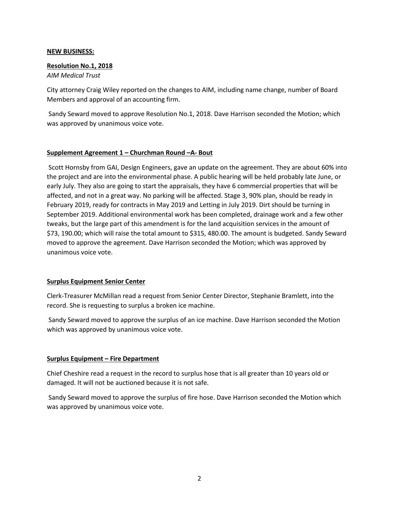#### **NEW BUSINESS:**

# **Resolution No.1, 2018**

*AIM Medical Trust*

City attorney Craig Wiley reported on the changes to AIM, including name change, number of Board Members and approval of an accounting firm.

Sandy Seward moved to approve Resolution No.1, 2018. Dave Harrison seconded the Motion; which was approved by unanimous voice vote.

## **Supplement Agreement 1 – Churchman Round –A- Bout**

Scott Hornsby from GAI, Design Engineers, gave an update on the agreement. They are about 60% into the project and are into the environmental phase. A public hearing will be held probably late June, or early July. They also are going to start the appraisals, they have 6 commercial properties that will be affected, and not in a great way. No parking will be affected. Stage 3, 90% plan, should be ready in February 2019, ready for contracts in May 2019 and Letting in July 2019. Dirt should be turning in September 2019. Additional environmental work has been completed, drainage work and a few other tweaks, but the large part of this amendment is for the land acquisition services in the amount of \$73, 190.00; which will raise the total amount to \$315, 480.00. The amount is budgeted. Sandy Seward moved to approve the agreement. Dave Harrison seconded the Motion; which was approved by unanimous voice vote.

## **Surplus Equipment Senior Center**

Clerk-Treasurer McMillan read a request from Senior Center Director, Stephanie Bramlett, into the record. She is requesting to surplus a broken ice machine.

Sandy Seward moved to approve the surplus of an ice machine. Dave Harrison seconded the Motion which was approved by unanimous voice vote.

# **Surplus Equipment – Fire Department**

Chief Cheshire read a request in the record to surplus hose that is all greater than 10 years old or damaged. It will not be auctioned because it is not safe.

Sandy Seward moved to approve the surplus of fire hose. Dave Harrison seconded the Motion which was approved by unanimous voice vote.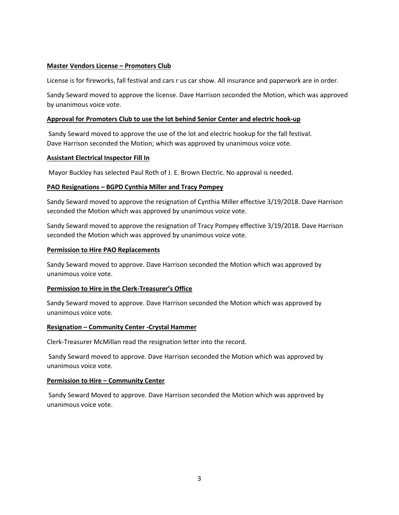# **Master Vendors License – Promoters Club**

License is for fireworks, fall festival and cars r us car show. All insurance and paperwork are in order.

Sandy Seward moved to approve the license. Dave Harrison seconded the Motion, which was approved by unanimous voice vote.

## **Approval for Promoters Club to use the lot behind Senior Center and electric hook-up**

Sandy Seward moved to approve the use of the lot and electric hookup for the fall festival. Dave Harrison seconded the Motion; which was approved by unanimous voice vote.

## **Assistant Electrical Inspector Fill In**

Mayor Buckley has selected Paul Roth of J. E. Brown Electric. No approval is needed.

## **PAO Resignations – BGPD Cynthia Miller and Tracy Pompey**

Sandy Seward moved to approve the resignation of Cynthia Miller effective 3/19/2018. Dave Harrison seconded the Motion which was approved by unanimous voice vote.

Sandy Seward moved to approve the resignation of Tracy Pompey effective 3/19/2018. Dave Harrison seconded the Motion which was approved by unanimous voice vote.

## **Permission to Hire PAO Replacements**

Sandy Seward moved to approve. Dave Harrison seconded the Motion which was approved by unanimous voice vote.

## **Permission to Hire in the Clerk-Treasurer's Office**

Sandy Seward moved to approve. Dave Harrison seconded the Motion which was approved by unanimous voice vote.

## **Resignation – Community Center -Crystal Hammer**

Clerk-Treasurer McMillan read the resignation letter into the record.

Sandy Seward moved to approve. Dave Harrison seconded the Motion which was approved by unanimous voice vote.

## **Permission to Hire – Community Center**

Sandy Seward Moved to approve. Dave Harrison seconded the Motion which was approved by unanimous voice vote.